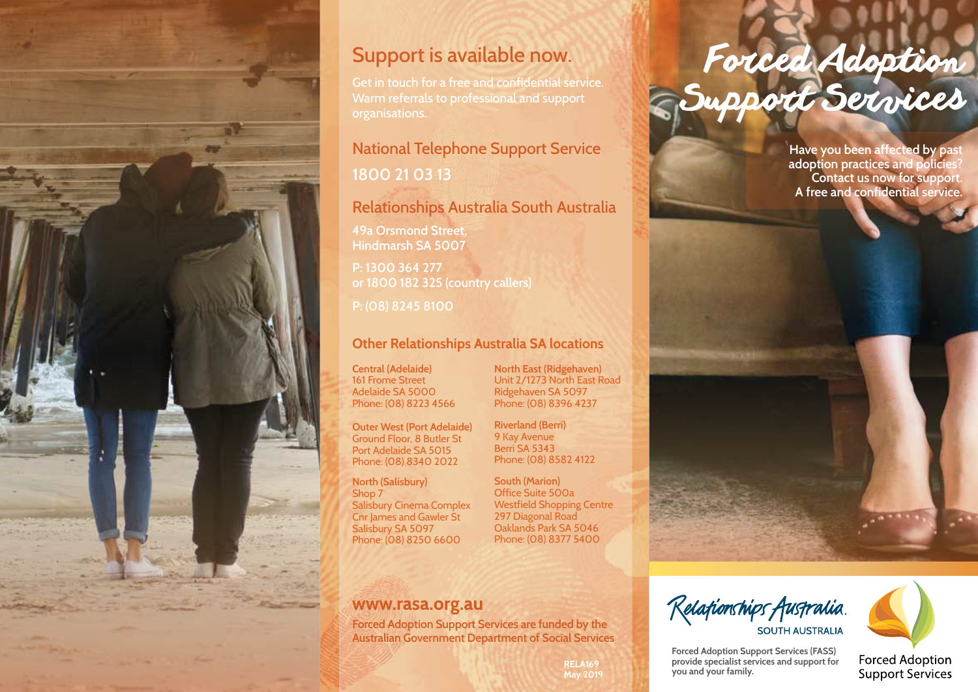

### Support is available now.

Get in touch for a free and confidential service. Warm referrals to professional and support organisations.

## National Telephone Support Service

**1800 21 03 13**

#### Relationships Australia South Australia

**49a Orsmond Street, Hindmarsh SA 5007**

**P: 1300 364 277 or 1800 182 325 (country callers)**

**P: (08) 8245 8100**

#### **Other Relationships Australia SA locations**

**Central (Adelaide)** 161 Frome Street Adelaide SA 5000 Phone: (08) 8223 4566

**Outer West (Port Adelaide)** Ground Floor, 8 Butler St Port Adelaide SA 5015 Phone: (08) 8340 2022

**North (Salisbury)** Shop 7 Salisbury Cinema Complex Cnr James and Gawler St Salisbury SA 5097 Phone: (08) 8250 6600

**North East (Ridgehaven)** Unit 2/1273 North East Road Ridgehaven SA 5097 Phone: (08) 8396 4237

**Riverland (Berri)** 9 Kay Avenue Berri SA 5343 Phone: (08) 8582 4122

**South (Marion)** Office Suite 500a Westfield Shopping Centre 297 Diagonal Road Oaklands Park SA 5046 Phone: (08) 8377 5400

#### www.rasa.org.au

**Forced Adoption Support Services are funded by the Australian Government Department of Social Services**

# Forced Adoption Support Services

**Have you been affected by past adoption practices and policies? Contact us now for support. A free and confidential service.** 



**Forced Adoption Support Services (FASS) provide specialist services and support for you and your family.**

**Forced Adoption** Support Services